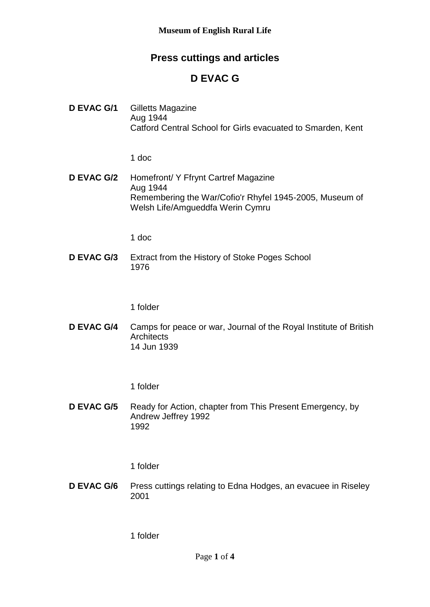## **Press cuttings and articles**

# **D EVAC G**

**D EVAC G/1** Gilletts Magazine Aug 1944 Catford Central School for Girls evacuated to Smarden, Kent

1 doc

**D EVAC G/2** Homefront/ Y Ffrynt Cartref Magazine Aug 1944 Remembering the War/Cofio'r Rhyfel 1945-2005, Museum of Welsh Life/Amgueddfa Werin Cymru

1 doc

**D EVAC G/3** Extract from the History of Stoke Poges School 1976

1 folder

**D EVAC G/4** Camps for peace or war, Journal of the Royal Institute of British **Architects** 14 Jun 1939

1 folder

**D EVAC G/5** Ready for Action, chapter from This Present Emergency, by Andrew Jeffrey 1992 1992

1 folder

**D EVAC G/6** Press cuttings relating to Edna Hodges, an evacuee in Riseley 2001

1 folder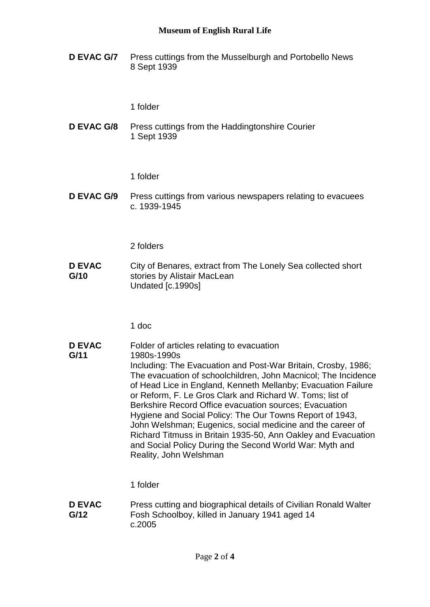#### **Museum of English Rural Life**

**D EVAC G/7** Press cuttings from the Musselburgh and Portobello News 8 Sept 1939

1 folder

**D EVAC G/8** Press cuttings from the Haddingtonshire Courier 1 Sept 1939

1 folder

**D EVAC G/9** Press cuttings from various newspapers relating to evacuees c. 1939-1945

2 folders

**D EVAC G/10** City of Benares, extract from The Lonely Sea collected short stories by Alistair MacLean Undated [c.1990s]

1 doc

**D EVAC G/11** Folder of articles relating to evacuation 1980s-1990s Including: The Evacuation and Post-War Britain, Crosby, 1986; The evacuation of schoolchildren, John Macnicol; The Incidence of Head Lice in England, Kenneth Mellanby; Evacuation Failure or Reform, F. Le Gros Clark and Richard W. Toms; list of Berkshire Record Office evacuation sources; Evacuation Hygiene and Social Policy: The Our Towns Report of 1943, John Welshman; Eugenics, social medicine and the career of Richard Titmuss in Britain 1935-50, Ann Oakley and Evacuation and Social Policy During the Second World War: Myth and Reality, John Welshman

1 folder

**D EVAC G/12** Press cutting and biographical details of Civilian Ronald Walter Fosh Schoolboy, killed in January 1941 aged 14 c.2005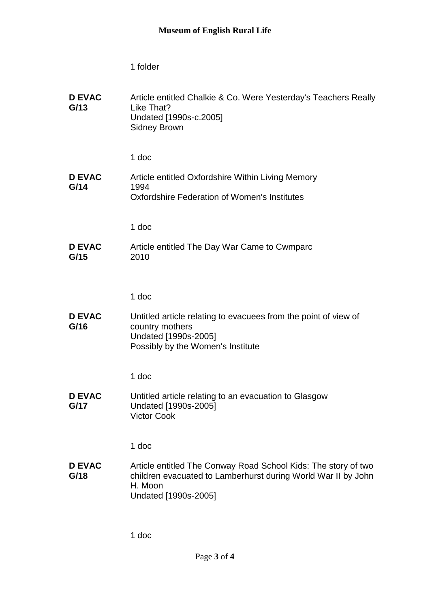1 folder

| <b>D EVAC</b><br>G/13 | Article entitled Chalkie & Co. Were Yesterday's Teachers Really<br>Like That?<br>Undated [1990s-c.2005]<br><b>Sidney Brown</b>                                     |
|-----------------------|--------------------------------------------------------------------------------------------------------------------------------------------------------------------|
|                       | 1 doc                                                                                                                                                              |
| <b>D EVAC</b><br>G/14 | Article entitled Oxfordshire Within Living Memory<br>1994<br><b>Oxfordshire Federation of Women's Institutes</b>                                                   |
|                       | 1 doc                                                                                                                                                              |
| <b>D EVAC</b><br>G/15 | Article entitled The Day War Came to Cwmparc<br>2010                                                                                                               |
|                       | 1 doc                                                                                                                                                              |
| <b>D EVAC</b><br>G/16 | Untitled article relating to evacuees from the point of view of<br>country mothers<br>Undated [1990s-2005]<br>Possibly by the Women's Institute                    |
|                       | 1 doc                                                                                                                                                              |
| <b>D EVAC</b><br>G/17 | Untitled article relating to an evacuation to Glasgow<br>Undated [1990s-2005]<br><b>Victor Cook</b>                                                                |
|                       | 1 doc                                                                                                                                                              |
| <b>D EVAC</b><br>G/18 | Article entitled The Conway Road School Kids: The story of two<br>children evacuated to Lamberhurst during World War II by John<br>H. Moon<br>Undated [1990s-2005] |
|                       |                                                                                                                                                                    |